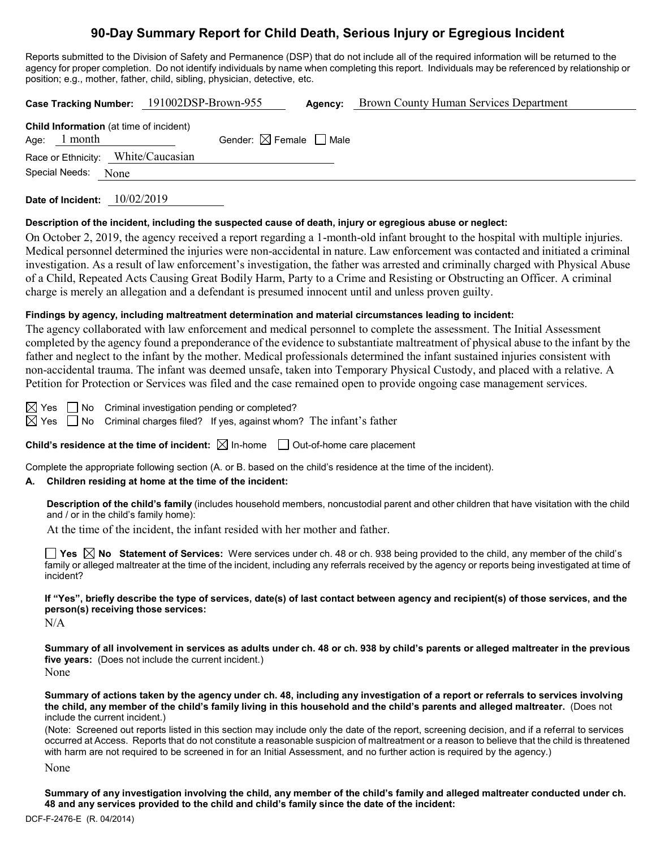# **90-Day Summary Report for Child Death, Serious Injury or Egregious Incident**

Reports submitted to the Division of Safety and Permanence (DSP) that do not include all of the required information will be returned to the agency for proper completion. Do not identify individuals by name when completing this report. Individuals may be referenced by relationship or position; e.g., mother, father, child, sibling, physician, detective, etc.

|                                                                  | Case Tracking Number: 191002DSP-Brown-955 | Agency: | <b>Brown County Human Services Department</b> |
|------------------------------------------------------------------|-------------------------------------------|---------|-----------------------------------------------|
| <b>Child Information</b> (at time of incident)<br>Age: $1$ month | Gender: $\boxtimes$ Female $\Box$ Male    |         |                                               |
| Race or Ethnicity: White/Caucasian                               |                                           |         |                                               |
| Special Needs: None                                              |                                           |         |                                               |

**Date of Incident:** 10/02/2019

#### **Description of the incident, including the suspected cause of death, injury or egregious abuse or neglect:**

On October 2, 2019, the agency received a report regarding a 1-month-old infant brought to the hospital with multiple injuries. Medical personnel determined the injuries were non-accidental in nature. Law enforcement was contacted and initiated a criminal investigation. As a result of law enforcement's investigation, the father was arrested and criminally charged with Physical Abuse of a Child, Repeated Acts Causing Great Bodily Harm, Party to a Crime and Resisting or Obstructing an Officer. A criminal charge is merely an allegation and a defendant is presumed innocent until and unless proven guilty.

#### **Findings by agency, including maltreatment determination and material circumstances leading to incident:**

The agency collaborated with law enforcement and medical personnel to complete the assessment. The Initial Assessment completed by the agency found a preponderance of the evidence to substantiate maltreatment of physical abuse to the infant by the father and neglect to the infant by the mother. Medical professionals determined the infant sustained injuries consistent with non-accidental trauma. The infant was deemed unsafe, taken into Temporary Physical Custody, and placed with a relative. A Petition for Protection or Services was filed and the case remained open to provide ongoing case management services.

 $\boxtimes$  Yes  $\Box$  No Criminal investigation pending or completed?

 $\boxtimes$  Yes  $\Box$  No Criminal charges filed? If yes, against whom? The infant's father

**Child's residence at the time of incident:**  $\boxtimes$  In-home  $\Box$  Out-of-home care placement

Complete the appropriate following section (A. or B. based on the child's residence at the time of the incident).

#### **A. Children residing at home at the time of the incident:**

**Description of the child's family** (includes household members, noncustodial parent and other children that have visitation with the child and / or in the child's family home):

At the time of the incident, the infant resided with her mother and father.

**Yes No Statement of Services:** Were services under ch. 48 or ch. 938 being provided to the child, any member of the child's family or alleged maltreater at the time of the incident, including any referrals received by the agency or reports being investigated at time of incident?

**If "Yes", briefly describe the type of services, date(s) of last contact between agency and recipient(s) of those services, and the person(s) receiving those services:**

 $N/A$ 

**Summary of all involvement in services as adults under ch. 48 or ch. 938 by child's parents or alleged maltreater in the previous five years:** (Does not include the current incident.) None

**Summary of actions taken by the agency under ch. 48, including any investigation of a report or referrals to services involving the child, any member of the child's family living in this household and the child's parents and alleged maltreater.** (Does not include the current incident.)

(Note: Screened out reports listed in this section may include only the date of the report, screening decision, and if a referral to services occurred at Access. Reports that do not constitute a reasonable suspicion of maltreatment or a reason to believe that the child is threatened with harm are not required to be screened in for an Initial Assessment, and no further action is required by the agency.)

None

**Summary of any investigation involving the child, any member of the child's family and alleged maltreater conducted under ch. 48 and any services provided to the child and child's family since the date of the incident:**